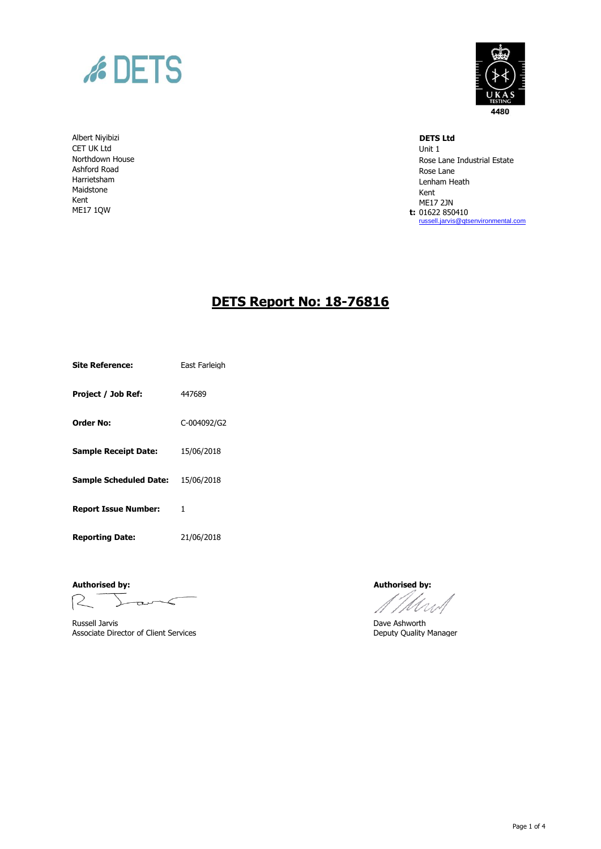

Albert Niyibizi **DETS Ltd** CET UK Ltd Unit 1 Northdown House Ashford Road Harrietsham Maidstone Kent ME17 1QW



Rose Lane Industrial Estate Rose Lane Lenham Heath Kent ME17 2JN **t:** 01622 850410 [russell.jarvis@qtsenvironmental.com](mailto:russell.jarvis@qtsenvironmental.com)

## **DETS Report No: 18-76816**

**Site Reference:** East Farleigh

**Project / Job Ref:** 447689

**Order No:** C-004092/G2

**Sample Receipt Date:** 15/06/2018

**Sample Scheduled Date:** 15/06/2018

**Report Issue Number:** 1

**Reporting Date:** 21/06/2018

**Authorised by: Authorised by:**

 $R^{-}$  $L$ ara $\lt$ 

Russell Jarvis **Exercise 2 (2018)**<br>
Associate Director of Client Services **Ashworth**<br>
Deputy Quality Manager Associate Director of Client Services

Mw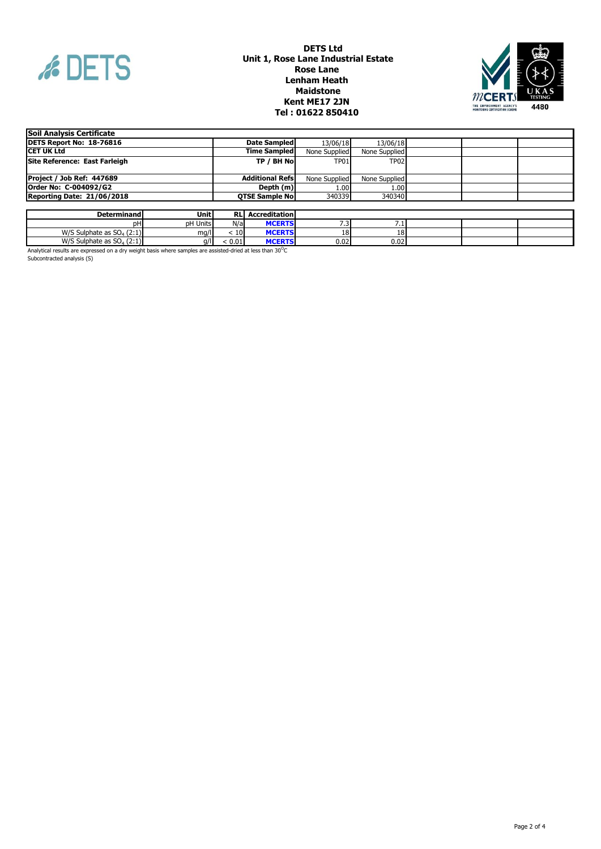

## **Kent ME17 2JN DETS Ltd ' Unit 1, Rose Lane Industrial Estate Rose Lane Lenham Heath Maidstone Tel : 01622 850410 '**



| Soil Analysis Certificate      |                         |               |               |  |  |
|--------------------------------|-------------------------|---------------|---------------|--|--|
| DETS Report No: 18-76816       | Date Sampled            | 13/06/18      | 13/06/18      |  |  |
| <b>ICET UK Ltd</b>             | <b>Time Sampled</b>     | None Supplied | None Supplied |  |  |
| Site Reference: East Farleigh  | TP / BH No              | <b>TP01</b>   | <b>TP02</b>   |  |  |
|                                |                         |               |               |  |  |
| Project / Job Ref: 447689      | <b>Additional Refsl</b> | None Supplied | None Supplied |  |  |
| Order No: C-004092/G2          | Depth $(m)$             | 1.001         | 1.00          |  |  |
| Reporting Date: 21/06/2018     | <b>OTSE Sample Nol</b>  | 340339        | 340340        |  |  |
|                                |                         |               |               |  |  |
| l Init I<br><b>Determinand</b> | <b>DI</b> Accreditation |               |               |  |  |

| Determinandl                                                     | Unitl    | <b>RL</b> | <b>Accreditation</b> |      |             |  |  |
|------------------------------------------------------------------|----------|-----------|----------------------|------|-------------|--|--|
| DН                                                               | pH Units | N/a       | <b>MCERT</b>         | ر .  | .           |  |  |
| $M/\zeta$ Sulr<br>S Sulphate as $SO4$ (2:1)<br><b>777 ک</b>      | ma/l     | 10        | <b>MCERTS</b>        | πo.  | 10<br>ا ≀0⊥ |  |  |
| $M/C$ C<br>$\sqrt{5}$ Sulphate as SO <sub>4</sub> (2:1).<br>77 J | a/lı     | 0.01      | MCEDTS.              | 0.02 | 0.02        |  |  |
|                                                                  |          |           |                      |      |             |  |  |

Analytical results are expressed on a dry weight basis where samples are assisted-dried at less than 30<sup>o</sup>C<br>Subcontracted analysis (S)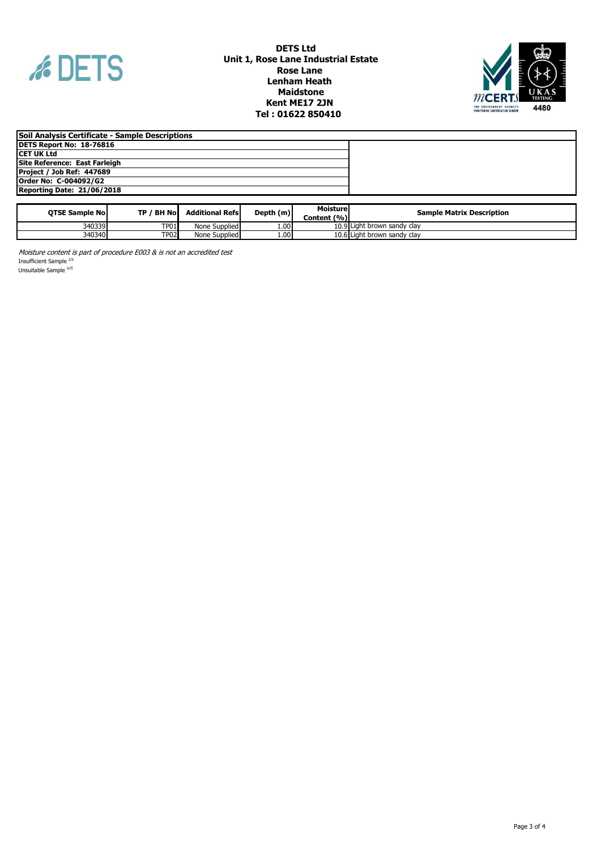

## **DETS Ltd Unit 1, Rose Lane Industrial Estate Rose Lane Lenham Heath Maidstone Kent ME17 2JN Tel : 01622 850410 '**



| Soil Analysis Certificate - Sample Descriptions |  |
|-------------------------------------------------|--|
| DETS Report No: 18-76816                        |  |
| ICET UK Ltd                                     |  |
| Site Reference: East Farleigh                   |  |
| Project / Job Ref: 447689                       |  |
| Order No: C-004092/G2                           |  |
| Reporting Date: 21/06/2018                      |  |

| <b>OTSE Sample Nol</b> | TP / BH Nol | <b>Additional Refsl</b> | Depth $(m)$ | Moisturel<br>Content (%) | <b>Sample Matrix Description</b> |
|------------------------|-------------|-------------------------|-------------|--------------------------|----------------------------------|
| 340339                 | <b>TP01</b> | None Supplied           | 001         |                          | 10.9 Light brown sandy clay      |
| 340340                 | <b>TP02</b> | None Supplied           | 1.00        |                          | 10.6 Light brown sandy clay      |

Moisture content is part of procedure E003 & is not an accredited test Insufficient Sample <sup>I/S</sup>

Unsuitable Sample U/S